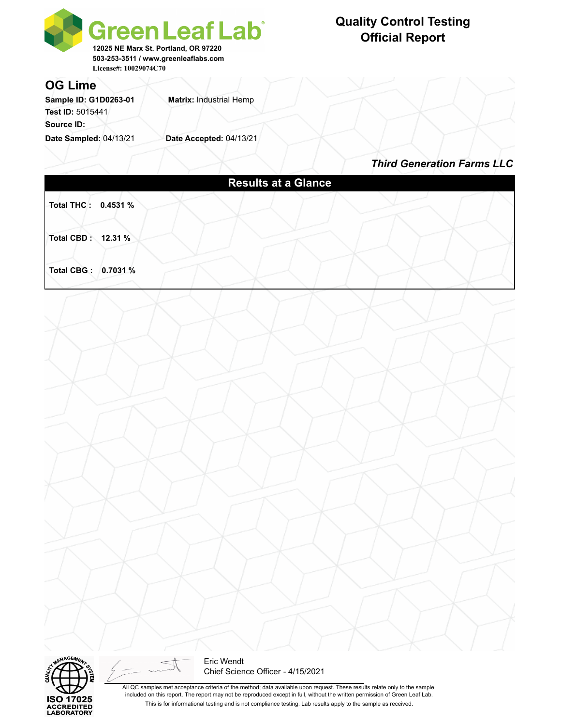

# **Quality Control Testing Official Report**

#### **OG Lime**

Sample ID: G1D0263-01 **Matrix: Industrial Hemp Test ID:** 5015441 **Source ID:** 

**Date Sampled:** 04/13/21 **Date Accepted:** 04/13/21

*Third Generation Farms LLC*





Eric Wendt Chief Science Officer - 4/15/2021

All QC samples met acceptance criteria of the method; data available upon request. These results relate only to the sample included on this report. The report may not be reproduced except in full, without the written permission of Green Leaf Lab. This is for informational testing and is not compliance testing. Lab results apply to the sample as received.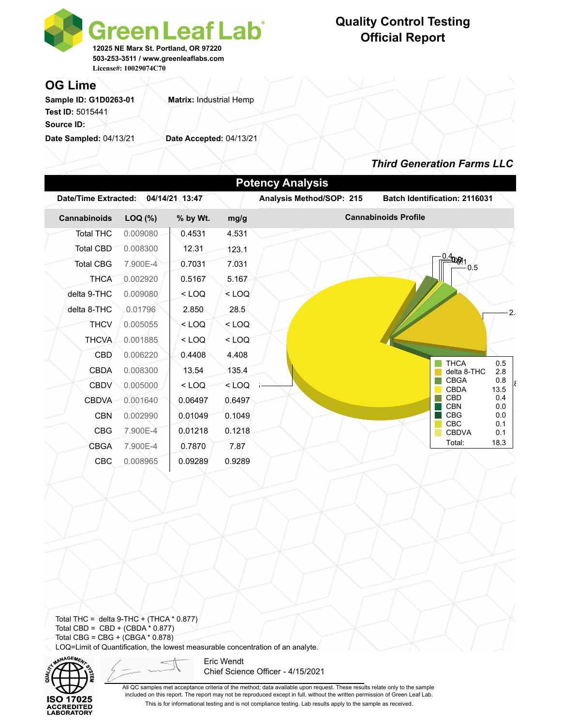

# **Quality Control Testing Official Report**

### **OG Lime**

Sample ID: G1D0263-01 **Matrix: Industrial Hemp Test ID:** 5015441 **Source ID:** 

**Date Sampled:** 04/13/21 **Date Accepted:** 04/13/21

## *Third Generation Farms LLC*

|  | <b>Potency Analysis</b> |          |                |         |                          |                                           |  |  |  |  |  |  |  |
|--|-------------------------|----------|----------------|---------|--------------------------|-------------------------------------------|--|--|--|--|--|--|--|
|  | Date/Time Extracted:    |          | 04/14/21 13:47 |         | Analysis Method/SOP: 215 | <b>Batch Identification: 2116031</b>      |  |  |  |  |  |  |  |
|  | Cannabinoids            | LOQ (%)  | % by Wt.       | mg/g    |                          | <b>Cannabinoids Profile</b>               |  |  |  |  |  |  |  |
|  | <b>Total THC</b>        | 0.009080 | 0.4531         | 4.531   |                          |                                           |  |  |  |  |  |  |  |
|  | Total CBD               | 0.008300 | 12.31          | 123.1   |                          |                                           |  |  |  |  |  |  |  |
|  | <b>Total CBG</b>        | 7.900E-4 | 0.7031         | 7.031   |                          | $-4001$<br>0.5                            |  |  |  |  |  |  |  |
|  | <b>THCA</b>             | 0.002920 | 0.5167         | 5.167   |                          |                                           |  |  |  |  |  |  |  |
|  | delta 9-THC             | 0.009080 | $<$ LOQ        | $<$ LOQ |                          |                                           |  |  |  |  |  |  |  |
|  | delta 8-THC             | 0.01796  | 2.850          | 28.5    |                          | 21                                        |  |  |  |  |  |  |  |
|  | <b>THCV</b>             | 0.005055 | $<$ LOQ        | $<$ LOQ |                          |                                           |  |  |  |  |  |  |  |
|  | <b>THCVA</b>            | 0.001885 | $<$ LOQ        | $<$ LOQ |                          |                                           |  |  |  |  |  |  |  |
|  | <b>CBD</b>              | 0.006220 | 0.4408         | 4.408   |                          |                                           |  |  |  |  |  |  |  |
|  | CBDA                    | 0.008300 | 13.54          | 135.4   |                          | <b>THCA</b><br>0.5<br>delta 8-THC<br>2.8  |  |  |  |  |  |  |  |
|  | <b>CBDV</b>             | 0.005000 | $<$ LOQ        | $<$ LOQ |                          | <b>CBGA</b><br>0.8<br>13.5<br><b>CBDA</b> |  |  |  |  |  |  |  |
|  | <b>CBDVA</b>            | 0.001640 | 0.06497        | 0.6497  |                          | <b>CBD</b><br>0.4                         |  |  |  |  |  |  |  |
|  | <b>CBN</b>              | 0.002990 | 0.01049        | 0.1049  |                          | <b>CBN</b><br>0.0<br><b>CBG</b><br>0.0    |  |  |  |  |  |  |  |
|  | <b>CBG</b>              | 7.900E-4 | 0.01218        | 0.1218  |                          | <b>CBC</b><br>0.1<br><b>CBDVA</b><br>0.1  |  |  |  |  |  |  |  |
|  | <b>CBGA</b>             | 7.900E-4 | 0.7870         | 7.87    |                          | 18.3<br>Total:                            |  |  |  |  |  |  |  |
|  | <b>CBC</b>              | 0.008965 | 0.09289        | 0.9289  |                          |                                           |  |  |  |  |  |  |  |
|  |                         |          |                |         |                          |                                           |  |  |  |  |  |  |  |

Total THC = delta  $9$ -THC + (THCA  $*$  0.877) Total CBD =  $CBD + (CBDA * 0.877)$ Total CBG = CBG + (CBGA \* 0.878) LOQ=Limit of Quantification, the lowest measurable concentration of an analyte.



Eric Wendt Chief Science Officer - 4/15/2021

All QC samples met acceptance criteria of the method; data available upon request. These results relate only to the sample included on this report. The report may not be reproduced except in full, without the written permission of Green Leaf Lab. This is for informational testing and is not compliance testing. Lab results apply to the sample as received.